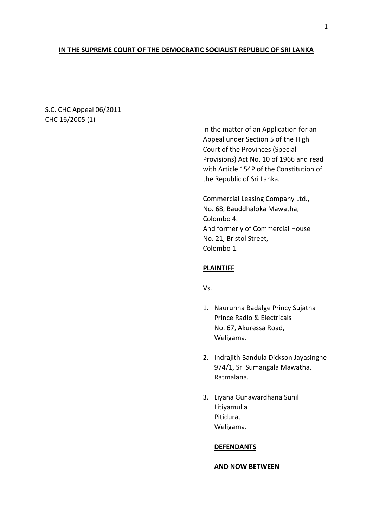# **IN THE SUPREME COURT OF THE DEMOCRATIC SOCIALIST REPUBLIC OF SRI LANKA**

S.C. CHC Appeal 06/2011 CHC 16/2005 (1)

> In the matter of an Application for an Appeal under Section 5 of the High Court of the Provinces (Special Provisions) Act No. 10 of 1966 and read with Article 154P of the Constitution of the Republic of Sri Lanka.

Commercial Leasing Company Ltd., No. 68, Bauddhaloka Mawatha, Colombo 4. And formerly of Commercial House No. 21, Bristol Street, Colombo 1.

## **PLAINTIFF**

Vs.

- 1. Naurunna Badalge Princy Sujatha Prince Radio & Electricals No. 67, Akuressa Road, Weligama.
- 2. Indrajith Bandula Dickson Jayasinghe 974/1, Sri Sumangala Mawatha, Ratmalana.
- 3. Liyana Gunawardhana Sunil Litiyamulla Pitidura, Weligama.

### **DEFENDANTS**

**AND NOW BETWEEN**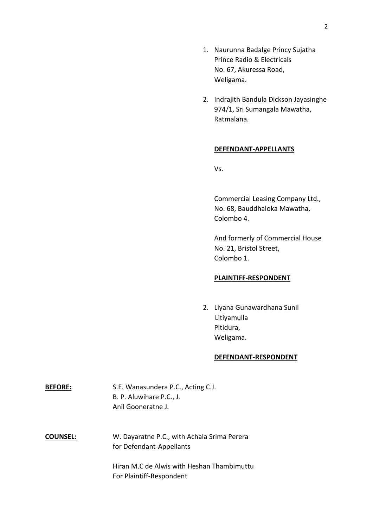- 1. Naurunna Badalge Princy Sujatha Prince Radio & Electricals No. 67, Akuressa Road, Weligama.
- 2. Indrajith Bandula Dickson Jayasinghe 974/1, Sri Sumangala Mawatha, Ratmalana.

### **DEFENDANT-APPELLANTS**

Vs.

Commercial Leasing Company Ltd., No. 68, Bauddhaloka Mawatha, Colombo 4.

And formerly of Commercial House No. 21, Bristol Street, Colombo 1.

## **PLAINTIFF-RESPONDENT**

2. Liyana Gunawardhana Sunil Litiyamulla Pitidura, Weligama.

### **DEFENDANT-RESPONDENT**

| <b>BEFORE:</b> | S.E. Wanasundera P.C., Acting C.J. |
|----------------|------------------------------------|
|                | B. P. Aluwihare P.C., J.           |
|                | Anil Gooneratne J.                 |

**COUNSEL:** W. Dayaratne P.C., with Achala Srima Perera for Defendant-Appellants

> Hiran M.C de Alwis with Heshan Thambimuttu For Plaintiff-Respondent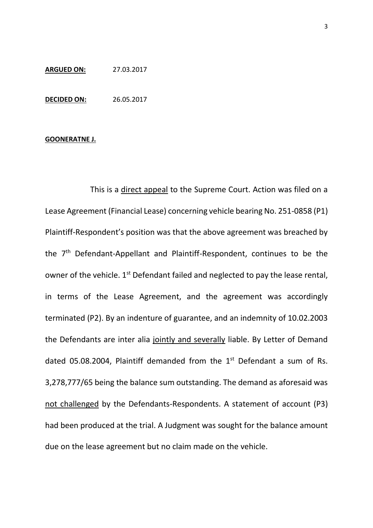## **ARGUED ON:** 27.03.2017

**DECIDED ON:** 26.05.2017

### **GOONERATNE J.**

This is a direct appeal to the Supreme Court. Action was filed on a Lease Agreement (Financial Lease) concerning vehicle bearing No. 251-0858 (P1) Plaintiff-Respondent's position was that the above agreement was breached by the 7<sup>th</sup> Defendant-Appellant and Plaintiff-Respondent, continues to be the owner of the vehicle.  $1^{st}$  Defendant failed and neglected to pay the lease rental, in terms of the Lease Agreement, and the agreement was accordingly terminated (P2). By an indenture of guarantee, and an indemnity of 10.02.2003 the Defendants are inter alia jointly and severally liable. By Letter of Demand dated 05.08.2004, Plaintiff demanded from the  $1<sup>st</sup>$  Defendant a sum of Rs. 3,278,777/65 being the balance sum outstanding. The demand as aforesaid was not challenged by the Defendants-Respondents. A statement of account (P3) had been produced at the trial. A Judgment was sought for the balance amount due on the lease agreement but no claim made on the vehicle.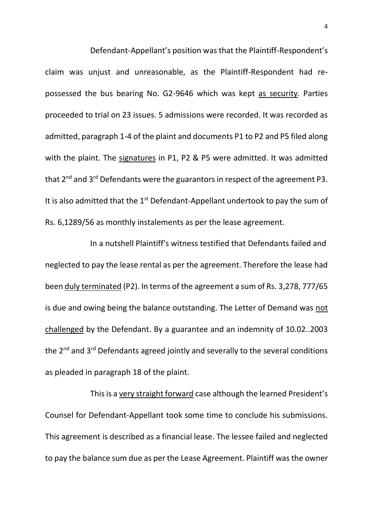Defendant-Appellant's position was that the Plaintiff-Respondent's claim was unjust and unreasonable, as the Plaintiff-Respondent had repossessed the bus bearing No. G2-9646 which was kept as security. Parties proceeded to trial on 23 issues. 5 admissions were recorded. It was recorded as admitted, paragraph 1-4 of the plaint and documents P1 to P2 and P5 filed along with the plaint. The signatures in P1, P2 & P5 were admitted. It was admitted that  $2^{nd}$  and  $3^{rd}$  Defendants were the guarantors in respect of the agreement P3. It is also admitted that the  $1<sup>st</sup>$  Defendant-Appellant undertook to pay the sum of Rs. 6,1289/56 as monthly instalements as per the lease agreement.

In a nutshell Plaintiff's witness testified that Defendants failed and neglected to pay the lease rental as per the agreement. Therefore the lease had been duly terminated (P2). In terms of the agreement a sum of Rs. 3,278, 777/65 is due and owing being the balance outstanding. The Letter of Demand was not challenged by the Defendant. By a guarantee and an indemnity of 10.02..2003 the 2<sup>nd</sup> and 3<sup>rd</sup> Defendants agreed jointly and severally to the several conditions as pleaded in paragraph 18 of the plaint.

This is a very straight forward case although the learned President's Counsel for Defendant-Appellant took some time to conclude his submissions. This agreement is described as a financial lease. The lessee failed and neglected to pay the balance sum due as per the Lease Agreement. Plaintiff was the owner